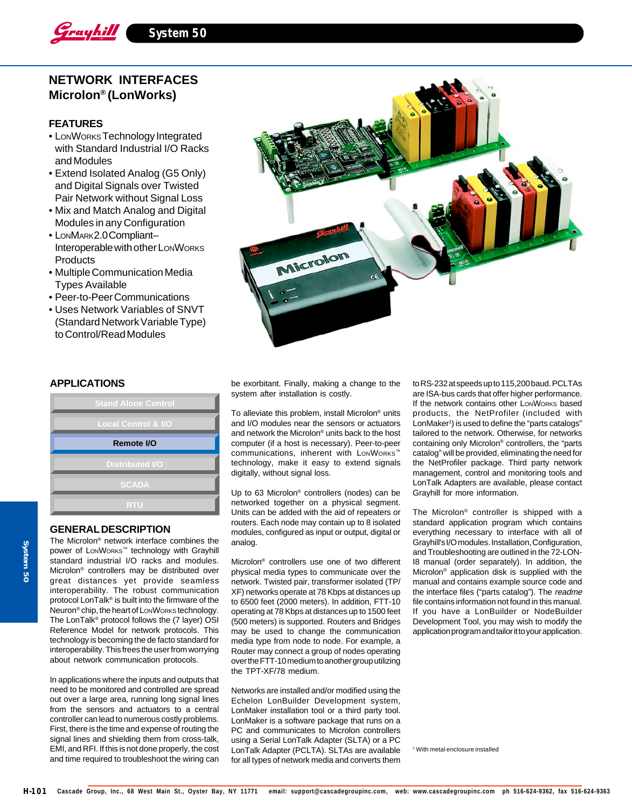# **NETWORK INTERFACES Microlon® (LonWorks)**

**System 50**

## **FEATURES**

Grayhill

- LONWORKS Technology Integrated with Standard Industrial I/O Racks and Modules
- Extend Isolated Analog (G5 Only) and Digital Signals over Twisted Pair Network without Signal Loss
- Mix and Match Analog and Digital Modules in any Configuration
- LONMARK2.0 Compliant– Interoperable with other LONWORKS **Products**
- Multiple Communication Media Types Available
- Peer-to-Peer Communications
- Uses Network Variables of SNVT (Standard Network Variable Type) to Control/Read Modules



be exorbitant. Finally, making a change to the system after installation is costly.

To alleviate this problem, install Microlon® units and I/O modules near the sensors or actuators and network the Microlon® units back to the host computer (if a host is necessary). Peer-to-peer communications, inherent with LONWORKS™ technology, make it easy to extend signals digitally, without signal loss.

Up to 63 Microlon® controllers (nodes) can be networked together on a physical segment. Units can be added with the aid of repeaters or routers. Each node may contain up to 8 isolated modules, configured as input or output, digital or analog.

Microlon® controllers use one of two different physical media types to communicate over the network. Twisted pair, transformer isolated (TP/ XF) networks operate at 78 Kbps at distances up to 6500 feet (2000 meters). In addition, FTT-10 operating at 78 Kbps at distances up to 1500 feet (500 meters) is supported. Routers and Bridges may be used to change the communication media type from node to node. For example, a Router may connect a group of nodes operating over the FTT-10 medium to another group utilizing the TPT-XF/78 medium.

Networks are installed and/or modified using the Echelon LonBuilder Development system, LonMaker installation tool or a third party tool. LonMaker is a software package that runs on a PC and communicates to Microlon controllers using a Serial LonTalk Adapter (SLTA) or a PC LonTalk Adapter (PCLTA). SLTAs are available for all types of network media and converts them

to RS-232 at speeds up to 115,200 baud. PCLTAs are ISA-bus cards that offer higher performance. If the network contains other LONWORKS based products, the NetProfiler (included with LonMaker<sup>1</sup>) is used to define the "parts catalogs" tailored to the network. Otherwise, for networks containing only Microlon® controllers, the "parts catalog" will be provided, eliminating the need for the NetProfiler package. Third party network management, control and monitoring tools and LonTalk Adapters are available, please contact Grayhill for more information.

The Microlon® controller is shipped with a standard application program which contains everything necessary to interface with all of Grayhill's I/O modules. Installation, Configuration, and Troubleshooting are outlined in the 72-LON-I8 manual (order separately). In addition, the Microlon® application disk is supplied with the manual and contains example source code and the interface files ("parts catalog"). The readme file contains information not found in this manual. If you have a LonBuilder or NodeBuilder Development Tool, you may wish to modify the application program and tailor it to your application.

1 With metal enclosure installed

### **APPLICATIONS**

| <b>Stand Alone Control</b>     |
|--------------------------------|
| <b>Local Control &amp; I/O</b> |
| Remote I/O                     |
| <b>Distributed I/O</b>         |
| <b>SCADA</b>                   |
| <b>RTU</b>                     |

#### **GENERAL DESCRIPTION**

The Microlon® network interface combines the power of LonWorks™ technology with Grayhill standard industrial I/O racks and modules. Microlon® controllers may be distributed over great distances yet provide seamless interoperability. The robust communication protocol LonTalk® is built into the firmware of the Neuron® chip, the heart of LONWORKS technology. The LonTalk® protocol follows the (7 layer) OSI Reference Model for network protocols. This technology is becoming the de facto standard for interoperability. This frees the user from worrying about network communication protocols.

In applications where the inputs and outputs that need to be monitored and controlled are spread out over a large area, running long signal lines from the sensors and actuators to a central controller can lead to numerous costly problems. First, there is the time and expense of routing the signal lines and shielding them from cross-talk, EMI, and RFI. If this is not done properly, the cost and time required to troubleshoot the wiring can